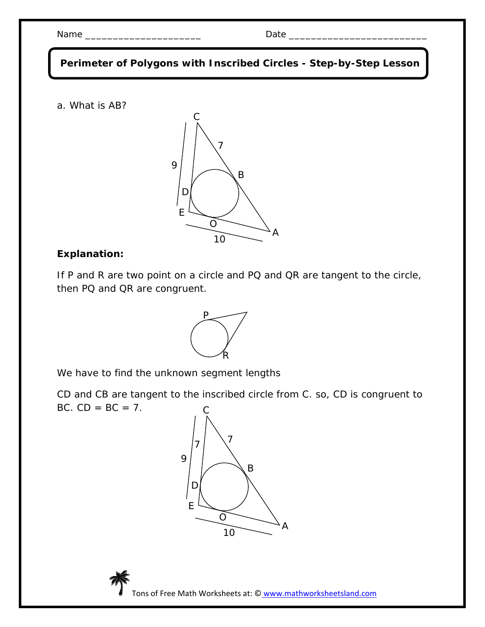| <b>N</b> 1<br>IN 2<br>__________ | $ -$ |
|----------------------------------|------|
|----------------------------------|------|

 **Perimeter of Polygons with Inscribed Circles - Step-by-Step Lesson**

a. What is AB?



## **Explanation:**

If P and R are two point on a circle and PQ and QR are tangent to the circle, then PQ and QR are congruent.



We have to find the unknown segment lengths

CD and CB are tangent to the inscribed circle from C. so, CD is congruent to BC.  $CD = BC = 7$ .



Tons of Free Math Worksheets at: © www.mathworksheetsland.com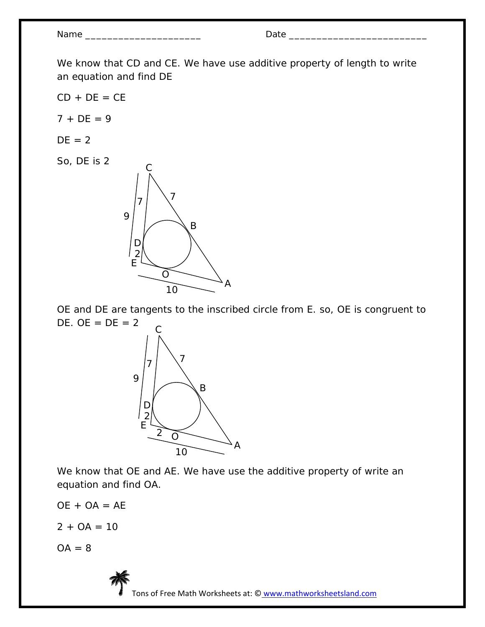Name \_\_\_\_\_\_\_\_\_\_\_\_\_\_\_\_\_\_\_\_\_ Date \_\_\_\_\_\_\_\_\_\_\_\_\_\_\_\_\_\_\_\_\_\_\_\_\_

We know that CD and CE. We have use additive property of length to write an equation and find DE

 $CD + DE = CE$ 

 $7 + DE = 9$ 

$$
DE = 2
$$

So, DE is 2



OE and DE are tangents to the inscribed circle from E. so, OE is congruent to DE.  $OE = DE = 2$ 



We know that OE and AE. We have use the additive property of write an equation and find OA.

$$
OE + OA = AE
$$

 $2 + OA = 10$ 

 $OA = 8$ 



Tons of Free Math Worksheets at: © www.mathworksheetsland.com